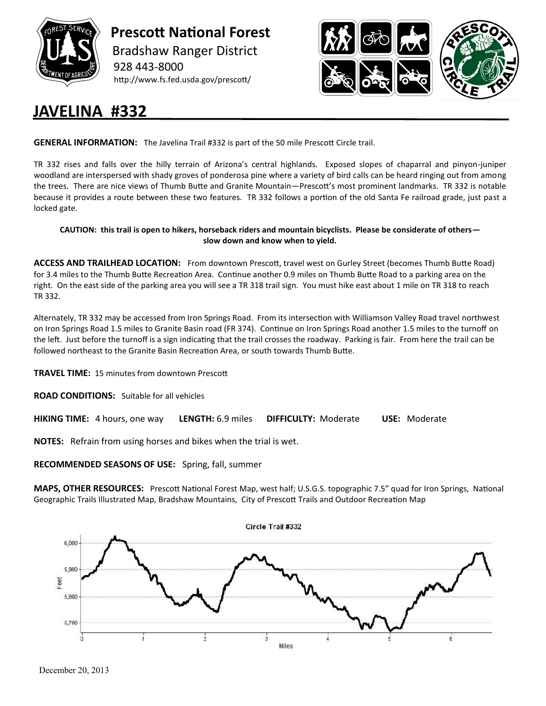

 **Prescott National Forest** Bradshaw Ranger District 928 443-8000 http://www.fs.fed.usda.gov/prescott/



## **JAVELINA #332**

**GENERAL INFORMATION:** The Javelina Trail #332 is part of the 50 mile Prescott Circle trail.

TR 332 rises and falls over the hilly terrain of Arizona's central highlands. Exposed slopes of chaparral and pinyon-juniper woodland are interspersed with shady groves of ponderosa pine where a variety of bird calls can be heard ringing out from among the trees. There are nice views of Thumb Butte and Granite Mountain—Prescott's most prominent landmarks. TR 332 is notable because it provides a route between these two features. TR 332 follows a portion of the old Santa Fe railroad grade, just past a locked gate.

## **CAUTION: this trail is open to hikers, horseback riders and mountain bicyclists. Please be considerate of others slow down and know when to yield.**

**ACCESS AND TRAILHEAD LOCATION:** From downtown Prescott, travel west on Gurley Street (becomes Thumb Butte Road) for 3.4 miles to the Thumb Butte Recreation Area. Continue another 0.9 miles on Thumb Butte Road to a parking area on the right. On the east side of the parking area you will see a TR 318 trail sign. You must hike east about 1 mile on TR 318 to reach TR 332.

Alternately, TR 332 may be accessed from Iron Springs Road. From its intersection with Williamson Valley Road travel northwest on Iron Springs Road 1.5 miles to Granite Basin road (FR 374). Continue on Iron Springs Road another 1.5 miles to the turnoff on the left. Just before the turnoff is a sign indicating that the trail crosses the roadway. Parking is fair. From here the trail can be followed northeast to the Granite Basin Recreation Area, or south towards Thumb Butte.

**TRAVEL TIME:** 15 minutes from downtown Prescott

**ROAD CONDITIONS:** Suitable for all vehicles

**HIKING TIME:** 4 hours, one way **LENGTH:** 6.9 miles **DIFFICULTY:** Moderate **USE:** Moderate

**NOTES:** Refrain from using horses and bikes when the trial is wet.

**RECOMMENDED SEASONS OF USE:** Spring, fall, summer

**MAPS, OTHER RESOURCES:** Prescott National Forest Map, west half; U.S.G.S. topographic 7.5" quad for Iron Springs, National Geographic Trails Illustrated Map, Bradshaw Mountains, City of Prescott Trails and Outdoor Recreation Map



December 20, 2013